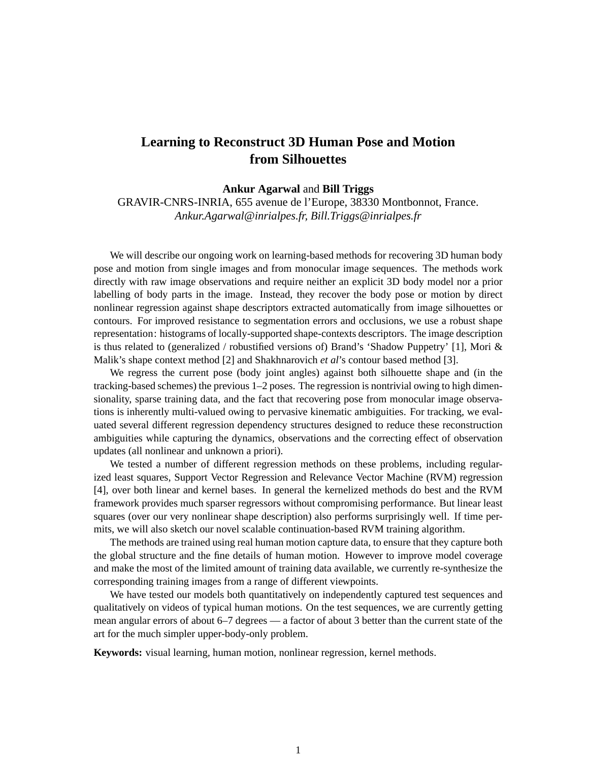## **Learning to Reconstruct 3D Human Pose and Motion from Silhouettes**

## **Ankur Agarwal** and **Bill Triggs**

GRAVIR-CNRS-INRIA, 655 avenue de l'Europe, 38330 Montbonnot, France. *Ankur.Agarwal@inrialpes.fr, Bill.Triggs@inrialpes.fr*

We will describe our ongoing work on learning-based methods for recovering 3D human body pose and motion from single images and from monocular image sequences. The methods work directly with raw image observations and require neither an explicit 3D body model nor a prior labelling of body parts in the image. Instead, they recover the body pose or motion by direct nonlinear regression against shape descriptors extracted automatically from image silhouettes or contours. For improved resistance to segmentation errors and occlusions, we use a robust shape representation: histograms of locally-supported shape-contexts descriptors. The image description is thus related to (generalized / robustified versions of) Brand's 'Shadow Puppetry' [1], Mori & Malik's shape context method [2] and Shakhnarovich *et al*'s contour based method [3].

We regress the current pose (body joint angles) against both silhouette shape and (in the tracking-based schemes) the previous 1–2 poses. The regression is nontrivial owing to high dimensionality, sparse training data, and the fact that recovering pose from monocular image observations is inherently multi-valued owing to pervasive kinematic ambiguities. For tracking, we evaluated several different regression dependency structures designed to reduce these reconstruction ambiguities while capturing the dynamics, observations and the correcting effect of observation updates (all nonlinear and unknown a priori).

We tested a number of different regression methods on these problems, including regularized least squares, Support Vector Regression and Relevance Vector Machine (RVM) regression [4], over both linear and kernel bases. In general the kernelized methods do best and the RVM framework provides much sparser regressors without compromising performance. But linear least squares (over our very nonlinear shape description) also performs surprisingly well. If time permits, we will also sketch our novel scalable continuation-based RVM training algorithm.

The methods are trained using real human motion capture data, to ensure that they capture both the global structure and the fine details of human motion. However to improve model coverage and make the most of the limited amount of training data available, we currently re-synthesize the corresponding training images from a range of different viewpoints.

We have tested our models both quantitatively on independently captured test sequences and qualitatively on videos of typical human motions. On the test sequences, we are currently getting mean angular errors of about 6–7 degrees — a factor of about 3 better than the current state of the art for the much simpler upper-body-only problem.

**Keywords:** visual learning, human motion, nonlinear regression, kernel methods.